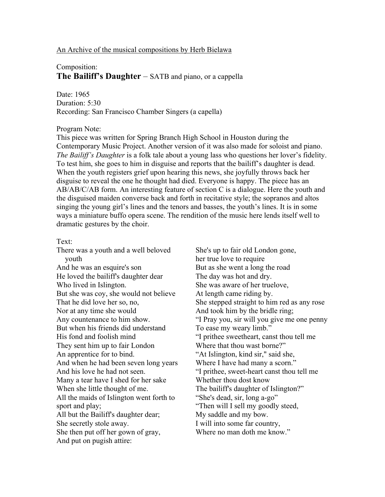## An Archive of the musical compositions by Herb Bielawa

## Composition: **The Bailiff's Daughter** – SATB and piano, or a cappella

Date: 1965 Duration: 5:30 Recording: San Francisco Chamber Singers (a capella)

## Program Note:

This piece was written for Spring Branch High School in Houston during the Contemporary Music Project. Another version of it was also made for soloist and piano. *The Bailiff's Daughter* is a folk tale about a young lass who questions her lover's fidelity. To test him, she goes to him in disguise and reports that the bailiff's daughter is dead. When the youth registers grief upon hearing this news, she joyfully throws back her disguise to reveal the one he thought had died. Everyone is happy. The piece has an AB/AB/C/AB form. An interesting feature of section C is a dialogue. Here the youth and the disguised maiden converse back and forth in recitative style; the sopranos and altos singing the young girl's lines and the tenors and basses, the youth's lines. It is in some ways a miniature buffo opera scene. The rendition of the music here lends itself well to dramatic gestures by the choir.

## Text:

There was a youth and a well beloved youth And he was an esquire's son He loved the bailiff's daughter dear Who lived in Islington. But she was coy, she would not believe That he did love her so, no, Nor at any time she would Any countenance to him show. But when his friends did understand His fond and foolish mind They sent him up to fair London An apprentice for to bind. And when he had been seven long years And his love he had not seen. Many a tear have I shed for her sake When she little thought of me. All the maids of Islington went forth to sport and play; All but the Bailiff's daughter dear; She secretly stole away. She then put off her gown of gray, And put on pugish attire:

She's up to fair old London gone, her true love to require But as she went a long the road The day was hot and dry. She was aware of her truelove, At length came riding by. She stepped straight to him red as any rose And took him by the bridle ring; "I Pray you, sir will you give me one penny To ease my weary limb." "I prithee sweetheart, canst thou tell me Where that thou wast borne?" "At Islington, kind sir," said she, Where I have had many a scorn." "I prithee, sweet-heart canst thou tell me Whether thou dost know The bailiff's daughter of Islington?" "She's dead, sir, long a-go" "Then will I sell my goodly steed, My saddle and my bow. I will into some far country, Where no man doth me know."